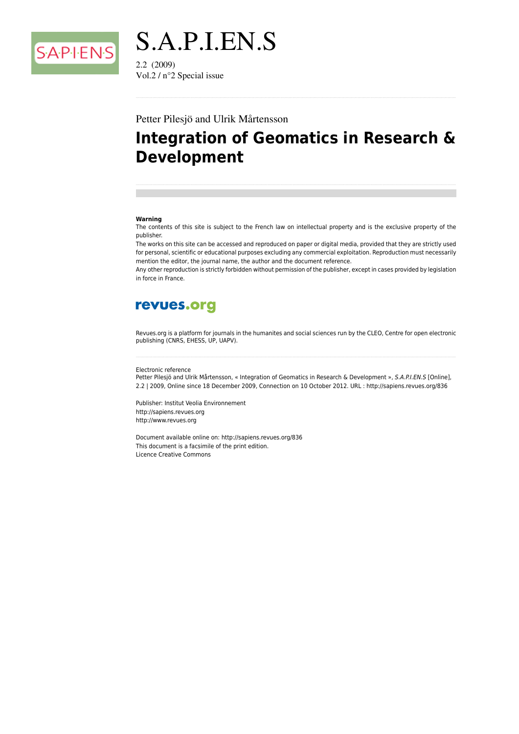

S.A.P.I.EN.S  $2.2(2009)$ Vol.2 /  $n^{\circ}$ 2 Special issue

#### Petter Pilesjö and Ulrik Mårtensson

# **Integration of Geomatics in Research & Development**

#### Warning

The contents of this site is subject to the French law on intellectual property and is the exclusive property of the publisher.

The works on this site can be accessed and reproduced on paper or digital media, provided that they are strictly used for personal, scientific or educational purposes excluding any commercial exploitation. Reproduction must necessarily mention the editor, the journal name, the author and the document reference.

Any other reproduction is strictly forbidden without permission of the publisher, except in cases provided by legislation in force in France.

# revues.org

Revues org is a platform for journals in the humanites and social sciences run by the CLEO. Centre for open electronic publishing (CNRS, EHESS, UP, UAPV).

#### Flectronic reference

Petter Pilesjö and Ulrik Mårtensson, « Integration of Geomatics in Research & Development », S.A.P.I.EN.S [Online], 2.2 | 2009, Online since 18 December 2009, Connection on 10 October 2012. URL : http://sapiens.revues.org/836

Publisher: Institut Veolia Environnement http://sapiens.revues.org http://www.revues.org

Document available online on: http://sapiens.revues.org/836 This document is a facsimile of the print edition. **Licence Creative Commons**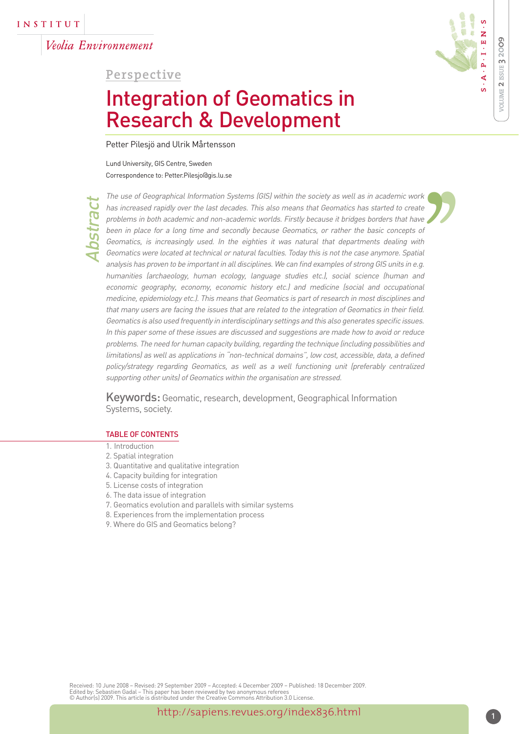Veolia Environnement

**Perspective**

# Integration of Geomatics in Research & Development

Petter Pilesjö and Ulrik Mårtensson

Lund University, GIS Centre, Sweden Correspondence to: Petter.Pilesjo@gis.lu.se



**VOLUME 2 ISSUE 3 20**

**0 9**

Abstract

' The use of Geographical Information Systems (GIS) within the society as well as in academic work has increased rapidly over the last decades. This also means that Geomatics has started to create problems in both academic and non-academic worlds. Firstly because it bridges borders that have been in place for a long time and secondly because Geomatics, or rather the basic concepts of Geomatics, is increasingly used. In the eighties it was natural that departments dealing with Geomatics were located at technical or natural faculties. Today this is not the case anymore. Spatial analysis has proven to be important in all disciplines. We can find examples of strong GIS units in e.g. humanities (archaeology, human ecology, language studies etc.), social science (human and economic geography, economy, economic history etc.) and medicine (social and occupational medicine, epidemiology etc.). This means that Geomatics is part of research in most disciplines and that many users are facing the issues that are related to the integration of Geomatics in their field. Geomatics is also used frequently in interdisciplinary settings and this also generates specific issues. In this paper some of these issues are discussed and suggestions are made how to avoid or reduce problems. The need for human capacity building, regarding the technique (including possibilities and limitations) as well as applications in "non-technical domains", low cost, accessible, data, a defined policy/strategy regarding Geomatics, as well as a well functioning unit (preferably centralized supporting other units) of Geomatics within the organisation are stressed.  $k$  te  $e$ <br>of the all  $q$ .

Keywords: Geomatic, research, development, Geographical Information Systems, society.

#### TABLE OF CONTENTS

- 1. Introduction
- 2. Spatial integration
- 3. Quantitative and qualitative integration
- 4. Capacity building for integration
- 5. License costs of integration
- 6. The data issue of integration
- 7. Geomatics evolution and parallels with similar systems
- 8. Experiences from the implementation process
- 9. Where do GIS and Geomatics belong?

Received: 10 June 2008 – Revised: 29 September 2009 – Accepted: 4 December 2009 – Published: 18 December 2009. Edited by: Sebastien Gadal – This paper has been reviewed by two anonymous referees © Author(s) 2009. This article is distributed under the Creative Commons Attribution 3.0 License.

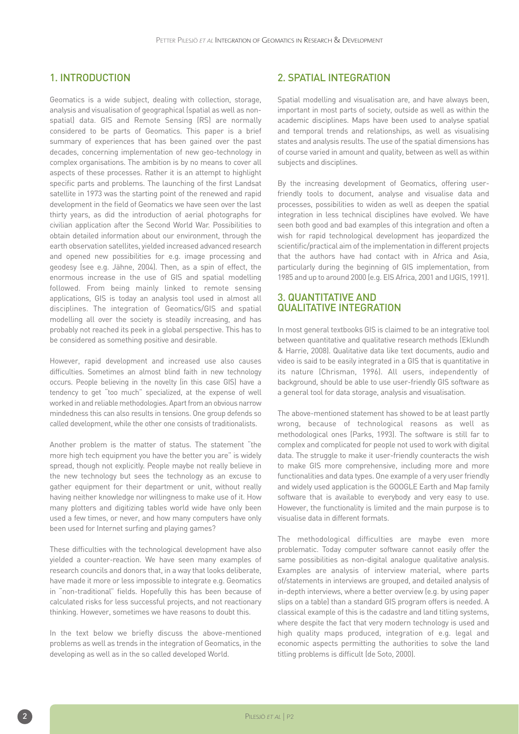### 1. INTRODUCTION

Geomatics is a wide subject, dealing with collection, storage, analysis and visualisation of geographical (spatial as well as nonspatial) data. GIS and Remote Sensing (RS) are normally considered to be parts of Geomatics. This paper is a brief summary of experiences that has been gained over the past decades, concerning implementation of new geo-technology in complex organisations. The ambition is by no means to cover all aspects of these processes. Rather it is an attempt to highlight specific parts and problems. The launching of the first Landsat satellite in 1973 was the starting point of the renewed and rapid development in the field of Geomatics we have seen over the last thirty years, as did the introduction of aerial photographs for civilian application after the Second World War. Possibilities to obtain detailed information about our environment, through the earth observation satellites, yielded increased advanced research and opened new possibilities for e.g. image processing and geodesy (see e.g. Jähne, 2004). Then, as a spin of effect, the enormous increase in the use of GIS and spatial modelling followed. From being mainly linked to remote sensing applications, GIS is today an analysis tool used in almost all disciplines. The integration of Geomatics/GIS and spatial modelling all over the society is steadily increasing, and has probably not reached its peek in a global perspective. This has to be considered as something positive and desirable.

However, rapid development and increased use also causes difficulties. Sometimes an almost blind faith in new technology occurs. People believing in the novelty (in this case GIS) have a tendency to get "too much" specialized, at the expense of well worked in and reliable methodologies. Apart from an obvious narrow mindedness this can also results in tensions. One group defends so called development, while the other one consists of traditionalists.

Another problem is the matter of status. The statement "the more high tech equipment you have the better you are" is widely spread, though not explicitly. People maybe not really believe in the new technology but sees the technology as an excuse to gather equipment for their department or unit, without really having neither knowledge nor willingness to make use of it. How many plotters and digitizing tables world wide have only been used a few times, or never, and how many computers have only been used for Internet surfing and playing games?

These difficulties with the technological development have also yielded a counter-reaction. We have seen many examples of research councils and donors that, in a way that looks deliberate, have made it more or less impossible to integrate e.g. Geomatics in "non-traditional" fields. Hopefully this has been because of calculated risks for less successful projects, and not reactionary thinking. However, sometimes we have reasons to doubt this.

In the text below we briefly discuss the above-mentioned problems as well as trends in the integration of Geomatics, in the developing as well as in the so called developed World.

### 2. SPATIAL INTEGRATION

Spatial modelling and visualisation are, and have always been, important in most parts of society, outside as well as within the academic disciplines. Maps have been used to analyse spatial and temporal trends and relationships, as well as visualising states and analysis results. The use of the spatial dimensions has of course varied in amount and quality, between as well as within subjects and disciplines.

By the increasing development of Geomatics, offering userfriendly tools to document, analyse and visualise data and processes, possibilities to widen as well as deepen the spatial integration in less technical disciplines have evolved. We have seen both good and bad examples of this integration and often a wish for rapid technological development has jeopardized the scientific/practical aim of the implementation in different projects that the authors have had contact with in Africa and Asia, particularly during the beginning of GIS implementation, from 1985 and up to around 2000 (e.g. EIS Africa, 2001 and IJGIS, 1991).

#### 3. QUANTITATIVE AND QUALITATIVE INTEGRATION

In most general textbooks GIS is claimed to be an integrative tool between quantitative and qualitative research methods (Eklundh & Harrie, 2008). Qualitative data like text documents, audio and video is said to be easily integrated in a GIS that is quantitative in its nature (Chrisman, 1996). All users, independently of background, should be able to use user-friendly GIS software as a general tool for data storage, analysis and visualisation.

The above-mentioned statement has showed to be at least partly wrong, because of technological reasons as well as methodological ones (Parks, 1993). The software is still far to complex and complicated for people not used to work with digital data. The struggle to make it user-friendly counteracts the wish to make GIS more comprehensive, including more and more functionalities and data types. One example of a very user friendly and widely used application is the GOOGLE Earth and Map family software that is available to everybody and very easy to use. However, the functionality is limited and the main purpose is to visualise data in different formats.

The methodological difficulties are maybe even more problematic. Today computer software cannot easily offer the same possibilities as non-digital analogue qualitative analysis. Examples are analysis of interview material, where parts of/statements in interviews are grouped, and detailed analysis of in-depth interviews, where a better overview (e.g. by using paper slips on a table) than a standard GIS program offers is needed. A classical example of this is the cadastre and land titling systems, where despite the fact that very modern technology is used and high quality maps produced, integration of e.g. legal and economic aspects permitting the authorities to solve the land titling problems is difficult (de Soto, 2000).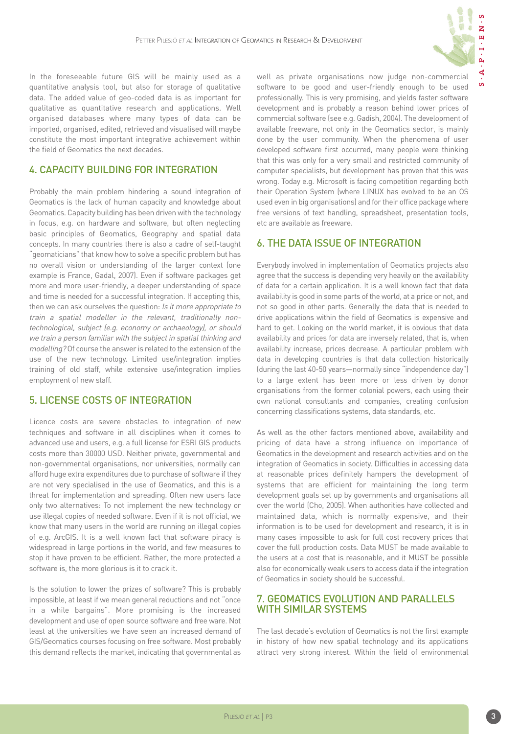

In the foreseeable future GIS will be mainly used as a quantitative analysis tool, but also for storage of qualitative data. The added value of geo-coded data is as important for qualitative as quantitative research and applications. Well organised databases where many types of data can be imported, organised, edited, retrieved and visualised will maybe constitute the most important integrative achievement within the field of Geomatics the next decades.

# 4. CAPACITY BUILDING FOR INTEGRATION

Probably the main problem hindering a sound integration of Geomatics is the lack of human capacity and knowledge about Geomatics. Capacity building has been driven with the technology in focus, e.g. on hardware and software, but often neglecting basic principles of Geomatics, Geography and spatial data concepts. In many countries there is also a cadre of self-taught "geomaticians" that know how to solve a specific problem but has no overall vision or understanding of the larger context (one example is France, Gadal, 2007). Even if software packages get more and more user-friendly, a deeper understanding of space and time is needed for a successful integration. If accepting this, then we can ask ourselves the question: Is it more appropriate to train a spatial modeller in the relevant, traditionally nontechnological, subject (e.g. economy or archaeology), or should we train a person familiar with the subject in spatial thinking and modelling? Of course the answer is related to the extension of the use of the new technology. Limited use/integration implies training of old staff, while extensive use/integration implies employment of new staff.

## 5. LICENSE COSTS OF INTEGRATION

Licence costs are severe obstacles to integration of new techniques and software in all disciplines when it comes to advanced use and users, e.g. a full license for ESRI GIS products costs more than 30000 USD. Neither private, governmental and non-governmental organisations, nor universities, normally can afford huge extra expenditures due to purchase of software if they are not very specialised in the use of Geomatics, and this is a threat for implementation and spreading. Often new users face only two alternatives: To not implement the new technology or use illegal copies of needed software. Even if it is not official, we know that many users in the world are running on illegal copies of e.g. ArcGIS. It is a well known fact that software piracy is widespread in large portions in the world, and few measures to stop it have proven to be efficient. Rather, the more protected a software is, the more glorious is it to crack it.

Is the solution to lower the prizes of software? This is probably impossible, at least if we mean general reductions and not "once in a while bargains". More promising is the increased development and use of open source software and free ware. Not least at the universities we have seen an increased demand of GIS/Geomatics courses focusing on free software. Most probably this demand reflects the market, indicating that governmental as well as private organisations now judge non-commercial software to be good and user-friendly enough to be used professionally. This is very promising, and yields faster software development and is probably a reason behind lower prices of commercial software (see e.g. Gadish, 2004). The development of available freeware, not only in the Geomatics sector, is mainly done by the user community. When the phenomena of user developed software first occurred, many people were thinking that this was only for a very small and restricted community of computer specialists, but development has proven that this was wrong. Today e.g. Microsoft is facing competition regarding both their Operation System (where LINUX has evolved to be an OS used even in big organisations) and for their office package where free versions of text handling, spreadsheet, presentation tools, etc are available as freeware.

## 6. THE DATA ISSUE OF INTEGRATION

Everybody involved in implementation of Geomatics projects also agree that the success is depending very heavily on the availability of data for a certain application. It is a well known fact that data availability is good in some parts of the world, at a price or not, and not so good in other parts. Generally the data that is needed to drive applications within the field of Geomatics is expensive and hard to get. Looking on the world market, it is obvious that data availability and prices for data are inversely related, that is, when availability increase, prices decrease. A particular problem with data in developing countries is that data collection historically (during the last 40-50 years—normally since "independence day") to a large extent has been more or less driven by donor organisations from the former colonial powers, each using their own national consultants and companies, creating confusion concerning classifications systems, data standards, etc.

As well as the other factors mentioned above, availability and pricing of data have a strong influence on importance of Geomatics in the development and research activities and on the integration of Geomatics in society. Difficulties in accessing data at reasonable prices definitely hampers the development of systems that are efficient for maintaining the long term development goals set up by governments and organisations all over the world (Cho, 2005). When authorities have collected and maintained data, which is normally expensive, and their information is to be used for development and research, it is in many cases impossible to ask for full cost recovery prices that cover the full production costs. Data MUST be made available to the users at a cost that is reasonable, and it MUST be possible also for economically weak users to access data if the integration of Geomatics in society should be successful.

### 7. GEOMATICS EVOLUTION AND PARALLELS WITH SIMILAR SYSTEMS

The last decade's evolution of Geomatics is not the first example in history of how new spatial technology and its applications attract very strong interest. Within the field of environmental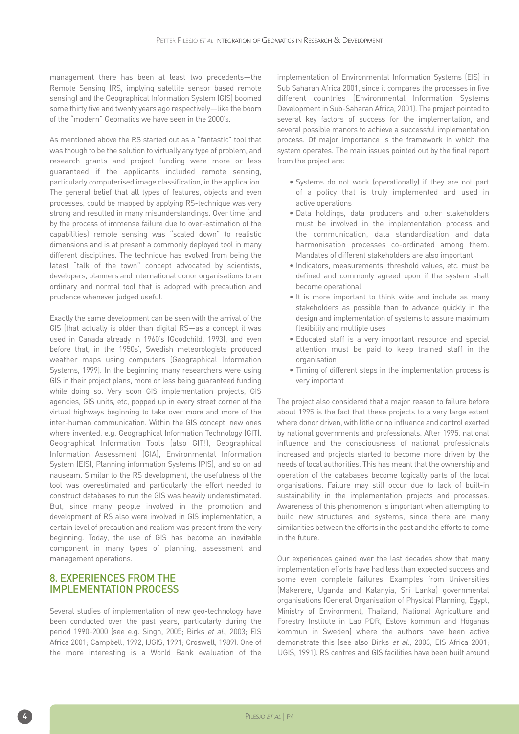management there has been at least two precedents—the Remote Sensing (RS, implying satellite sensor based remote sensing) and the Geographical Information System (GIS) boomed some thirty five and twenty years ago respectively—like the boom of the "modern" Geomatics we have seen in the 2000's.

As mentioned above the RS started out as a "fantastic" tool that was though to be the solution to virtually any type of problem, and research grants and project funding were more or less guaranteed if the applicants included remote sensing, particularly computerised image classification, in the application. The general belief that all types of features, objects and even processes, could be mapped by applying RS-technique was very strong and resulted in many misunderstandings. Over time (and by the process of immense failure due to over-estimation of the capabilities) remote sensing was "scaled down" to realistic dimensions and is at present a commonly deployed tool in many different disciplines. The technique has evolved from being the latest "talk of the town" concept advocated by scientists, developers, planners and international donor organisations to an ordinary and normal tool that is adopted with precaution and prudence whenever judged useful.

Exactly the same development can be seen with the arrival of the GIS (that actually is older than digital RS—as a concept it was used in Canada already in 1960's (Goodchild, 1993), and even before that, in the 1950s', Swedish meteorologists produced weather maps using computers (Geographical Information Systems, 1999). In the beginning many researchers were using GIS in their project plans, more or less being guaranteed funding while doing so. Very soon GIS implementation projects, GIS agencies, GIS units, etc, popped up in every street corner of the virtual highways beginning to take over more and more of the inter-human communication. Within the GIS concept, new ones where invented, e.g. Geographical Information Technology (GIT), Geographical Information Tools (also GIT!), Geographical Information Assessment (GIA), Environmental Information System (EIS), Planning information Systems (PIS), and so on ad nauseam. Similar to the RS development, the usefulness of the tool was overestimated and particularly the effort needed to construct databases to run the GIS was heavily underestimated. But, since many people involved in the promotion and development of RS also were involved in GIS implementation, a certain level of precaution and realism was present from the very beginning. Today, the use of GIS has become an inevitable component in many types of planning, assessment and management operations.

#### 8. EXPERIENCES FROM THE IMPLEMENTATION PROCESS

Several studies of implementation of new geo-technology have been conducted over the past years, particularly during the period 1990-2000 (see e.g. Singh, 2005; Birks et al., 2003; EIS Africa 2001; Campbell, 1992, IJGIS, 1991; Croswell, 1989). One of the more interesting is a World Bank evaluation of the

implementation of Environmental Information Systems (EIS) in Sub Saharan Africa 2001, since it compares the processes in five different countries (Environmental Information Systems Development in Sub-Saharan Africa, 2001). The project pointed to several key factors of success for the implementation, and several possible manors to achieve a successful implementation process. Of major importance is the framework in which the system operates. The main issues pointed out by the final report from the project are:

- Systems do not work (operationally) if they are not part of a policy that is truly implemented and used in active operations
- Data holdings, data producers and other stakeholders must be involved in the implementation process and the communication, data standardisation and data harmonisation processes co-ordinated among them. Mandates of different stakeholders are also important
- Indicators, measurements, threshold values, etc. must be defined and commonly agreed upon if the system shall become operational
- It is more important to think wide and include as many stakeholders as possible than to advance quickly in the design and implementation of systems to assure maximum flexibility and multiple uses
- Educated staff is a very important resource and special attention must be paid to keep trained staff in the organisation
- Timing of different steps in the implementation process is very important

The project also considered that a major reason to failure before about 1995 is the fact that these projects to a very large extent where donor driven, with little or no influence and control exerted by national governments and professionals. After 1995, national influence and the consciousness of national professionals increased and projects started to become more driven by the needs of local authorities. This has meant that the ownership and operation of the databases become logically parts of the local organisations. Failure may still occur due to lack of built-in sustainability in the implementation projects and processes. Awareness of this phenomenon is important when attempting to build new structures and systems, since there are many similarities between the efforts in the past and the efforts to come in the future.

Our experiences gained over the last decades show that many implementation efforts have had less than expected success and some even complete failures. Examples from Universities (Makerere, Uganda and Kalanyia, Sri Lanka) governmental organisations (General Organisation of Physical Planning, Egypt, Ministry of Environment, Thailand, National Agriculture and Forestry Institute in Lao PDR, Eslövs kommun and Höganäs kommun in Sweden) where the authors have been active demonstrate this (see also Birks et al., 2003, EIS Africa 2001; IJGIS, 1991). RS centres and GIS facilities have been built around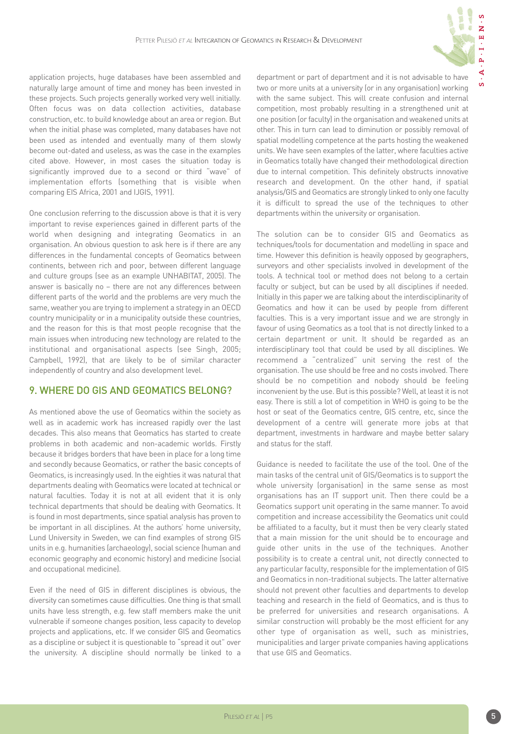application projects, huge databases have been assembled and naturally large amount of time and money has been invested in these projects. Such projects generally worked very well initially. Often focus was on data collection activities, database construction, etc. to build knowledge about an area or region. But when the initial phase was completed, many databases have not been used as intended and eventually many of them slowly become out-dated and useless, as was the case in the examples cited above. However, in most cases the situation today is significantly improved due to a second or third "wave" of implementation efforts (something that is visible when comparing EIS Africa, 2001 and IJGIS, 1991).

One conclusion referring to the discussion above is that it is very important to revise experiences gained in different parts of the world when designing and integrating Geomatics in an organisation. An obvious question to ask here is if there are any differences in the fundamental concepts of Geomatics between continents, between rich and poor, between different language and culture groups (see as an example UNHABITAT, 2005). The answer is basically no – there are not any differences between different parts of the world and the problems are very much the same, weather you are trying to implement a strategy in an OECD country municipality or in a municipality outside these countries, and the reason for this is that most people recognise that the main issues when introducing new technology are related to the institutional and organisational aspects (see Singh, 2005; Campbell, 1992), that are likely to be of similar character independently of country and also development level.

### 9. WHERE DO GIS AND GEOMATICS BELONG?

As mentioned above the use of Geomatics within the society as well as in academic work has increased rapidly over the last decades. This also means that Geomatics has started to create problems in both academic and non-academic worlds. Firstly because it bridges borders that have been in place for a long time and secondly because Geomatics, or rather the basic concepts of Geomatics, is increasingly used. In the eighties it was natural that departments dealing with Geomatics were located at technical or natural faculties. Today it is not at all evident that it is only technical departments that should be dealing with Geomatics. It is found in most departments, since spatial analysis has proven to be important in all disciplines. At the authors' home university, Lund University in Sweden, we can find examples of strong GIS units in e.g. humanities (archaeology), social science (human and economic geography and economic history) and medicine (social and occupational medicine).

Even if the need of GIS in different disciplines is obvious, the diversity can sometimes cause difficulties. One thing is that small units have less strength, e.g. few staff members make the unit vulnerable if someone changes position, less capacity to develop projects and applications, etc. If we consider GIS and Geomatics as a discipline or subject it is questionable to "spread it out" over the university. A discipline should normally be linked to a department or part of department and it is not advisable to have two or more units at a university (or in any organisation) working with the same subject. This will create confusion and internal competition, most probably resulting in a strengthened unit at one position (or faculty) in the organisation and weakened units at other. This in turn can lead to diminution or possibly removal of spatial modelling competence at the parts hosting the weakened units. We have seen examples of the latter, where faculties active in Geomatics totally have changed their methodological direction due to internal competition. This definitely obstructs innovative research and development. On the other hand, if spatial analysis/GIS and Geomatics are strongly linked to only one faculty it is difficult to spread the use of the techniques to other departments within the university or organisation.

The solution can be to consider GIS and Geomatics as techniques/tools for documentation and modelling in space and time. However this definition is heavily opposed by geographers, surveyors and other specialists involved in development of the tools. A technical tool or method does not belong to a certain faculty or subject, but can be used by all disciplines if needed. Initially in this paper we are talking about the interdisciplinarity of Geomatics and how it can be used by people from different faculties. This is a very important issue and we are strongly in favour of using Geomatics as a tool that is not directly linked to a certain department or unit. It should be regarded as an interdisciplinary tool that could be used by all disciplines. We recommend a "centralized" unit serving the rest of the organisation. The use should be free and no costs involved. There should be no competition and nobody should be feeling inconvenient by the use. But is this possible? Well, at least it is not easy. There is still a lot of competition in WHO is going to be the host or seat of the Geomatics centre, GIS centre, etc, since the development of a centre will generate more jobs at that department, investments in hardware and maybe better salary and status for the staff.

Guidance is needed to facilitate the use of the tool. One of the main tasks of the central unit of GIS/Geomatics is to support the whole university (organisation) in the same sense as most organisations has an IT support unit. Then there could be a Geomatics support unit operating in the same manner. To avoid competition and increase accessibility the Geomatics unit could be affiliated to a faculty, but it must then be very clearly stated that a main mission for the unit should be to encourage and guide other units in the use of the techniques. Another possibility is to create a central unit, not directly connected to any particular faculty, responsible for the implementation of GIS and Geomatics in non-traditional subjects. The latter alternative should not prevent other faculties and departments to develop teaching and research in the field of Geomatics, and is thus to be preferred for universities and research organisations. A similar construction will probably be the most efficient for any other type of organisation as well, such as ministries, municipalities and larger private companies having applications that use GIS and Geomatics.